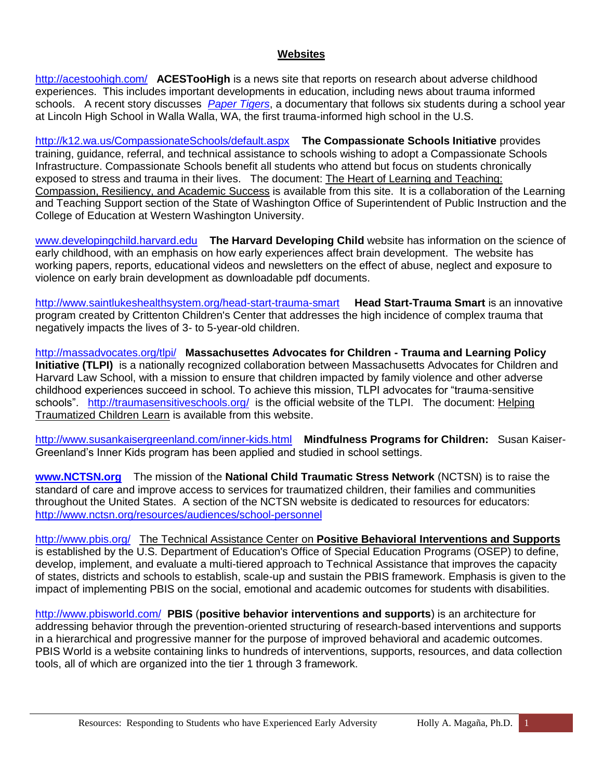#### **Websites**

<http://acestoohigh.com/>**ACESTooHigh** is a news site that reports on research about adverse childhood experiences. This includes important developments in education, including news about trauma informed schools. A recent story discusses *[Paper Tigers](http://www.papertigersmovie.com/)*, a documentary that follows six students during a school year at Lincoln High School in Walla Walla, WA, the first trauma-informed high school in the U.S.

<http://k12.wa.us/CompassionateSchools/default.aspx>**The Compassionate Schools Initiative** provides training, guidance, referral, and technical assistance to schools wishing to adopt a Compassionate Schools Infrastructure. Compassionate Schools benefit all students who attend but focus on students chronically exposed to stress and trauma in their lives. The document: The Heart of Learning and Teaching: Compassion, Resiliency, and Academic Success is available from this site. It is a collaboration of the Learning and Teaching Support section of the State of Washington Office of Superintendent of Public Instruction and the College of Education at Western Washington University.

[www.developingchild.harvard.edu](http://www.developingchild.harvard.edu/) **The Harvard Developing Child** website has information on the science of early childhood, with an emphasis on how early experiences affect brain development. The website has working papers, reports, educational videos and newsletters on the effect of abuse, neglect and exposure to violence on early brain development as downloadable pdf documents.

<http://www.saintlukeshealthsystem.org/head-start-trauma-smart>**[Head Start-Trauma Smart](http://traumasmart.org/)** is an innovative program created by Crittenton Children's Center that addresses the high incidence of complex trauma that negatively impacts the lives of 3- to 5-year-old children.

<http://massadvocates.org/tlpi/>**Massachusettes Advocates for Children - Trauma and Learning Policy Initiative (TLPI)** is a nationally recognized collaboration between Massachusetts Advocates for Children and Harvard Law School, with a mission to ensure that children impacted by family violence and other adverse childhood experiences succeed in school. To achieve this mission, TLPI advocates for "trauma-sensitive schools". <http://traumasensitiveschools.org/>is the official website of the TLPI. The document: Helping Traumatized Children Learn is available from this website.

<http://www.susankaisergreenland.com/inner-kids.html>**Mindfulness Programs for Children:** Susan Kaiser-Greenland's Inner Kids program has been applied and studied in school settings.

**[www.NCTSN.org](http://www.nctsn.org/)** The mission of the **National Child Traumatic Stress Network** (NCTSN) is to raise the standard of care and improve access to services for traumatized children, their families and communities throughout the United States. A section of the NCTSN website is dedicated to resources for educators: <http://www.nctsn.org/resources/audiences/school-personnel>

<http://www.pbis.org/>The Technical Assistance Center on **Positive Behavioral Interventions and Supports** is established by the U.S. Department of Education's Office of Special Education Programs (OSEP) to define, develop, implement, and evaluate a multi-tiered approach to Technical Assistance that improves the capacity of states, districts and schools to establish, scale-up and sustain the PBIS framework. Emphasis is given to the impact of implementing PBIS on the social, emotional and academic outcomes for students with disabilities.

<http://www.pbisworld.com/>**PBIS** (**positive behavior interventions and supports**) is an architecture for addressing behavior through the prevention-oriented structuring of research-based interventions and supports in a hierarchical and progressive manner for the purpose of improved behavioral and academic outcomes. PBIS World is a website containing links to hundreds of interventions, supports, resources, and data collection tools, all of which are organized into the tier 1 through 3 framework.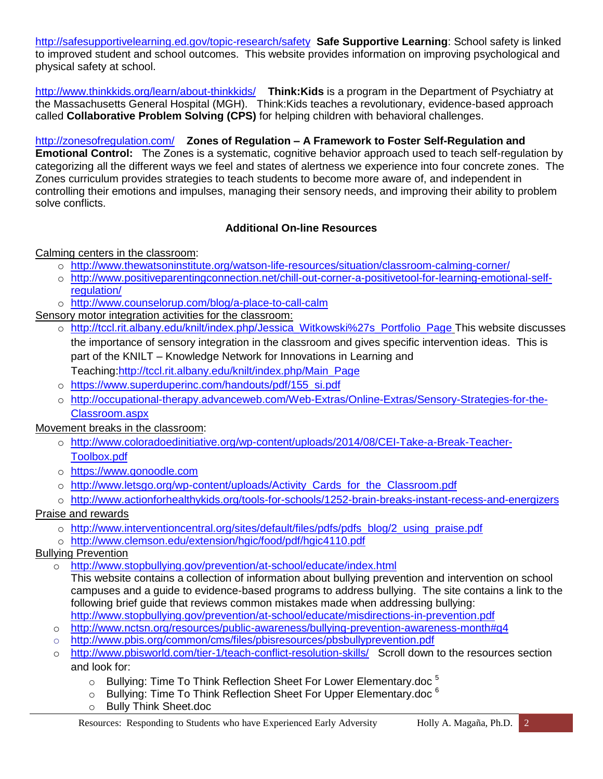<http://safesupportivelearning.ed.gov/topic-research/safety>**Safe Supportive Learning**: School safety is linked to improved student and school outcomes. This website provides information on improving psychological and physical safety at school.

<http://www.thinkkids.org/learn/about-thinkkids/>**Think:Kids** is a program in the Department of Psychiatry at the Massachusetts General Hospital (MGH). Think:Kids teaches a revolutionary, evidence-based approach called **Collaborative Problem Solving (CPS)** for helping children with behavioral challenges.

<http://zonesofregulation.com/>**Zones of Regulation – A Framework to Foster Self-Regulation and Emotional Control:** The Zones is a systematic, cognitive behavior approach used to teach self-regulation by categorizing all the different ways we feel and states of alertness we experience into four concrete zones. The Zones curriculum provides strategies to teach students to become more aware of, and independent in controlling their emotions and impulses, managing their sensory needs, and improving their ability to problem solve conflicts.

## **Additional On-line Resources**

## Calming centers in the classroom:

- o <http://www.thewatsoninstitute.org/watson-life-resources/situation/classroom-calming-corner/>
- o [http://www.positiveparentingconnection.net/chill-out-corner-a-positivetool-for-learning-emotional-self](http://www.positiveparentingconnection.net/chill-out-corner-a-positivetool-for-learning-emotional-self-regulation/)[regulation/](http://www.positiveparentingconnection.net/chill-out-corner-a-positivetool-for-learning-emotional-self-regulation/)
- o <http://www.counselorup.com/blog/a-place-to-call-calm>

Sensory motor integration activities for the classroom:

- o [http://tccl.rit.albany.edu/knilt/index.php/Jessica\\_Witkowski%27s\\_Portfolio\\_Page](http://tccl.rit.albany.edu/knilt/index.php/Jessica_Witkowski%27s_Portfolio_Page) This website discusses the importance of sensory integration in the classroom and gives specific intervention ideas. This is part of the KNILT – Knowledge Network for Innovations in Learning and Teaching[:http://tccl.rit.albany.edu/knilt/index.php/Main\\_Page](http://tccl.rit.albany.edu/knilt/index.php/Main_Page)
- o [https://www.superduperinc.com/handouts/pdf/155\\_si.pdf](https://www.superduperinc.com/handouts/pdf/155_si.pdf)
- o [http://occupational-therapy.advanceweb.com/Web-Extras/Online-Extras/Sensory-Strategies-for-the-](http://occupational-therapy.advanceweb.com/Web-Extras/Online-Extras/Sensory-Strategies-for-the-Classroom.aspx)[Classroom.aspx](http://occupational-therapy.advanceweb.com/Web-Extras/Online-Extras/Sensory-Strategies-for-the-Classroom.aspx)

Movement breaks in the classroom:

- o [http://www.coloradoedinitiative.org/wp-content/uploads/2014/08/CEI-Take-a-Break-Teacher-](http://www.coloradoedinitiative.org/wp-content/uploads/2014/08/CEI-Take-a-Break-Teacher-Toolbox.pdf)[Toolbox.pdf](http://www.coloradoedinitiative.org/wp-content/uploads/2014/08/CEI-Take-a-Break-Teacher-Toolbox.pdf)
- o [https://www.gonoodle.com](https://www.gonoodle.com/)
- o [http://www.letsgo.org/wp-content/uploads/Activity\\_Cards\\_for\\_the\\_Classroom.pdf](http://www.letsgo.org/wp-content/uploads/Activity_Cards_for_the_Classroom.pdf)
- o <http://www.actionforhealthykids.org/tools-for-schools/1252-brain-breaks-instant-recess-and-energizers>

# Praise and rewards

- o [http://www.interventioncentral.org/sites/default/files/pdfs/pdfs\\_blog/2\\_using\\_praise.pdf](http://www.interventioncentral.org/sites/default/files/pdfs/pdfs_blog/2_using_praise.pdf)
- o <http://www.clemson.edu/extension/hgic/food/pdf/hgic4110.pdf>
- Bullying Prevention
	- o <http://www.stopbullying.gov/prevention/at-school/educate/index.html>
		- This website contains a collection of information about bullying prevention and intervention on school campuses and a guide to evidence-based programs to address bullying. The site contains a link to the following brief guide that reviews common mistakes made when addressing bullying: <http://www.stopbullying.gov/prevention/at-school/educate/misdirections-in-prevention.pdf>
	- o <http://www.nctsn.org/resources/public-awareness/bullying-prevention-awareness-month#q4>
	- o <http://www.pbis.org/common/cms/files/pbisresources/pbsbullyprevention.pdf>
	- o <http://www.pbisworld.com/tier-1/teach-conflict-resolution-skills/>Scroll down to the resources section and look for:
		- $\circ$  Bullying: Time To Think Reflection Sheet For Lower [Elementary.doc](http://www.pbisworld.com/wp-content/uploads/Bullying-Time-To-Think.doc)<sup>5</sup>
		- $\circ$  Bullying: Time To Think Reflection Sheet For Upper [Elementary.doc](http://www.pbisworld.com/wp-content/uploads/Bullying-Time-To-Think-Upper.doc)  $^6$
		- o Bully Think [Sheet.doc](http://www4.smsd.org/positivebehaviorsupports/docs/Doc-87951.doc)